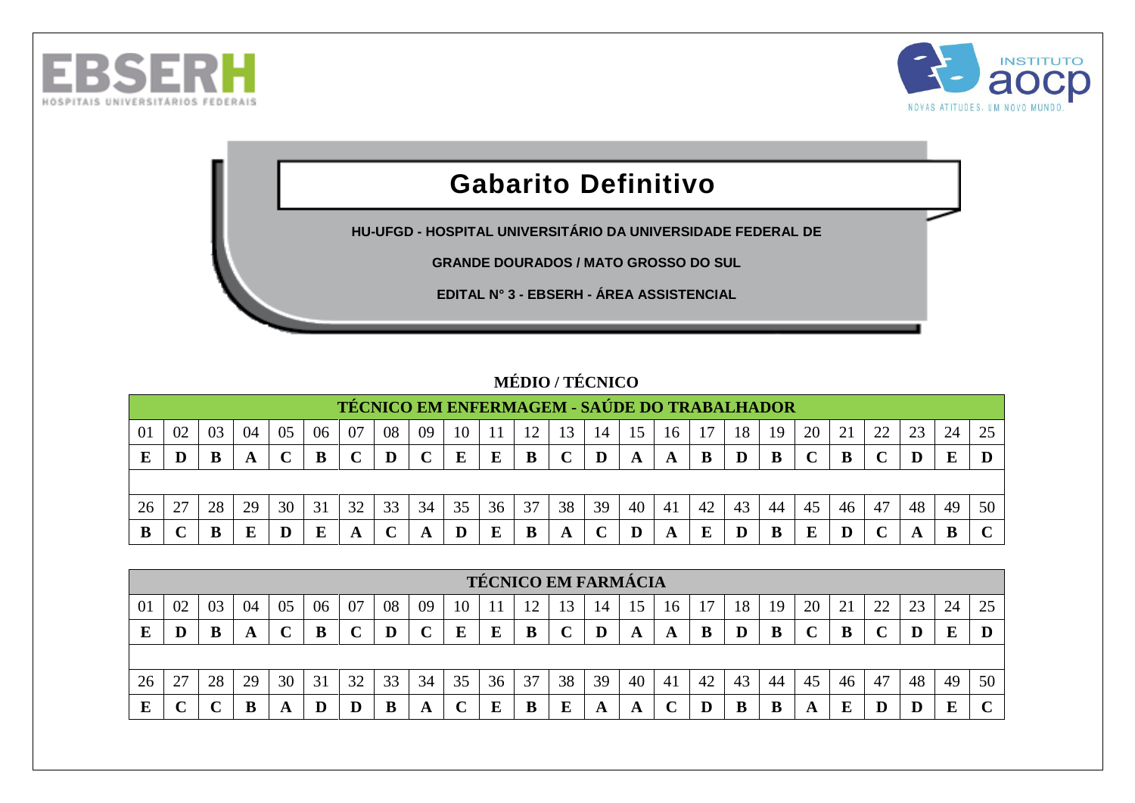



## **Gabarito Definitivo**

**HU-UFGD - HOSPITAL UNIVERSITÁRIO DA UNIVERSIDADE FEDERAL DE** 

**GRANDE DOURADOS / MATO GROSSO DO SUL**

**EDITAL N° 3 - EBSERH - ÁREA ASSISTENCIAL**

## **MÉDIO / TÉCNICO**

|     |    |    |    |    |    |    |    |    |    |    |    |    |    |    | TÉCNICO EM ENFERMAGEM - SAÚDE DO TRABALHADOR |    |    |    |        |    |        |    |    |    |
|-----|----|----|----|----|----|----|----|----|----|----|----|----|----|----|----------------------------------------------|----|----|----|--------|----|--------|----|----|----|
| -01 | 02 | 03 | 04 | 05 | 06 | 07 | 08 | 09 | 10 |    | 12 |    | 14 | 15 | 16                                           |    | 18 | 19 | 20     |    | 22     |    | 24 |    |
| E   |    | B  | A  |    | В  |    |    |    | E  |    | в  |    |    | A  | A                                            |    | D  |    | $\sim$ |    | $\sim$ |    | E  |    |
|     |    |    |    |    |    |    |    |    |    |    |    |    |    |    |                                              |    |    |    |        |    |        |    |    |    |
| 26  | 27 | 28 | 29 | 30 | 31 | 32 | 33 | 34 | 35 | 36 | 37 | 38 | 39 | 40 | 41                                           | 42 | 43 | 44 | 45     | 46 | 47     | 48 | 49 | 50 |
| B   |    |    | Е  |    | E  | A  |    |    |    |    | В  | A  |    |    | A                                            |    | D  |    | E      |    |        |    |    |    |

|    |    |    |    |    |    |    |    |    |    |    |    | <b>TÉCNICO EM FARMÁCIA</b> |    |    |     |    |    |    |    |    |    |    |    |    |
|----|----|----|----|----|----|----|----|----|----|----|----|----------------------------|----|----|-----|----|----|----|----|----|----|----|----|----|
| 01 | 02 | 03 | 04 | 05 | 06 | 07 | 08 | 09 | 10 |    |    | 13                         | 14 | 15 | 16  |    | 18 | 19 | 20 | 21 | 22 | 23 | 24 | 25 |
| E  |    |    | A  |    |    |    | D  |    | E  | E  | B  |                            |    | A  | A   |    |    | В  |    | B  |    |    | E  |    |
|    |    |    |    |    |    |    |    |    |    |    |    |                            |    |    |     |    |    |    |    |    |    |    |    |    |
| 26 | 27 | 28 | 29 | 30 | 31 | 32 | 33 | 34 | 35 | 36 | 37 | 38                         | 39 | 40 | -41 | 42 | 43 | 44 | 45 | 46 | 47 | 48 | 49 | 50 |
| E  |    |    |    |    | D  |    | B  |    |    |    | B  | E                          | A  | A  |     |    | B  | В  | A  | E  |    |    | E  | r  |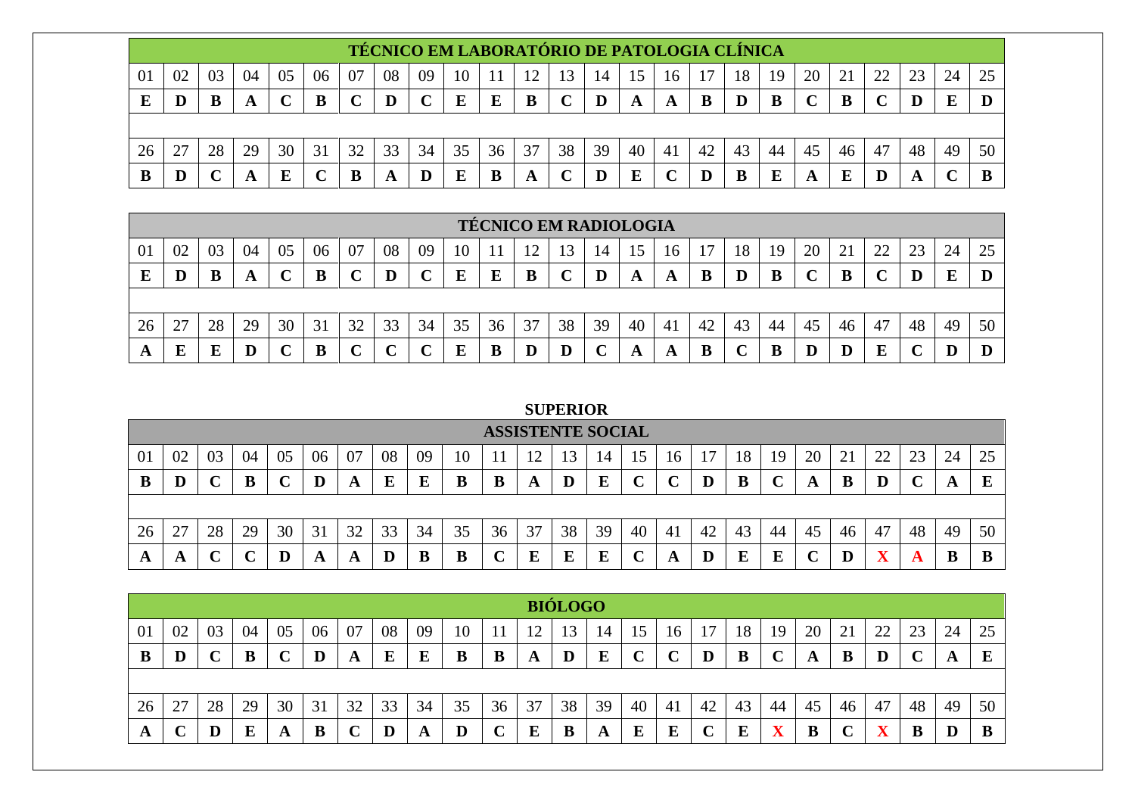|    |    |    |    |    |    |    |    |              | TÉCNICO EM LABORATÓRIO DE PATOLOGIA CLÍNICA |    |    |    |    |    |    |    |    |    |              |    |              |    |    |    |
|----|----|----|----|----|----|----|----|--------------|---------------------------------------------|----|----|----|----|----|----|----|----|----|--------------|----|--------------|----|----|----|
| 01 | 02 | 03 | 04 | 05 | 06 | 07 | 08 | 09           | 10                                          |    |    |    | 14 | 15 | 16 |    | 18 | 19 | 20           |    | 22           | 23 | 24 | 25 |
| E  |    | B  |    |    | B  |    | D  | $\mathbf{C}$ | E                                           | E  | B  |    | D  | A  | A  |    | D  | B  | $\mathbf{C}$ | B  | $\mathbf{C}$ | D  | E  |    |
|    |    |    |    |    |    |    |    |              |                                             |    |    |    |    |    |    |    |    |    |              |    |              |    |    |    |
| 26 |    | 28 | 29 | 30 | 31 | 32 | 33 | 34           | 35                                          | 36 | 37 | 38 | 39 | 40 | 41 | 42 | 43 | 44 | 45           | 46 | 47           | 48 | 49 | 50 |
| В  |    |    |    | Б  |    |    | A  |              | E                                           |    | A  |    | D  | Е  |    |    |    |    | A            | E  |              |    |    |    |

|    |    |    |    |    |    |    |    |    |    |    |    |               | <b>TÉCNICO EM RADIOLOGIA</b> |    |    |    |    |    |    |    |    |    |    |    |
|----|----|----|----|----|----|----|----|----|----|----|----|---------------|------------------------------|----|----|----|----|----|----|----|----|----|----|----|
| 01 | 02 | 03 | 04 | 05 | 06 | 07 | 08 | 09 | 10 |    | 12 | $\mathcal{R}$ | 14                           | 15 | 16 |    | 18 | 19 | 20 | ∠⊥ | 22 |    | 24 | 25 |
|    | D  |    | A  |    | B  |    |    |    | E  |    | В  |               |                              | A  | A  |    | D  |    |    | В  |    |    |    |    |
|    |    |    |    |    |    |    |    |    |    |    |    |               |                              |    |    |    |    |    |    |    |    |    |    |    |
| 26 | 27 | 28 | 29 | 30 | 31 | 32 | 33 | 34 | 35 | 36 | 37 | 38            | 39                           | 40 | 41 | 42 | 43 | 44 | 45 | 46 | 47 | 48 | 49 | 50 |
| A  | E  | Ľ  | D  |    | B  |    |    |    |    |    | D  |               |                              | A  | A  | B  |    |    |    |    | E  |    |    |    |

## **SUPERIOR**

|     |         |    |    |    |    |    |    |      |    | <b>ASSISTENTE SOCIAL</b> |    |    |    |    |     |    |    |    |    |            |    |          |    |         |
|-----|---------|----|----|----|----|----|----|------|----|--------------------------|----|----|----|----|-----|----|----|----|----|------------|----|----------|----|---------|
| -01 | 02      | 03 | 04 | 05 | 06 | 07 | 08 | 09   | 10 |                          | ി  | 13 | 14 |    | 16  |    | 18 | 19 | 20 | $\angle 1$ | 22 | າາ<br>23 | 24 | 25      |
| В   | $\bf D$ |    | B  |    | D  | A  | E  | دلله | B  | D                        | A  | Ю  | E  |    |     |    | B  |    | A  |            |    |          |    | Б<br>P. |
|     |         |    |    |    |    |    |    |      |    |                          |    |    |    |    |     |    |    |    |    |            |    |          |    |         |
| 26  | 27      | 28 | 29 | 30 | 31 | 32 | 33 | 34   | 35 | 36                       | 37 | 38 | 39 | 40 | -41 | 42 | 43 | 44 | 45 | 46         | 47 | 48       | 49 | 50      |
| A   | A       |    |    |    | A  | A  |    | B    | B  |                          | E  |    | E  |    | A   |    | E  |    |    |            | w. |          | ш  | D       |

|    |    |    |    |    |    |    |    |    |          |    |    | <b>BIÓLOGO</b> |    |    |        |    |    |    |        |    |    |    |    |    |
|----|----|----|----|----|----|----|----|----|----------|----|----|----------------|----|----|--------|----|----|----|--------|----|----|----|----|----|
| 01 | 02 | 03 | 04 | 05 | 06 | 07 | 08 | 09 | 10       |    |    | 13             | 14 | 15 | 16     |    | 18 | 19 | 20     |    | 22 | 23 | 24 | 25 |
| B  |    |    | B  |    | D  | A  | E  |    | B        | B  | A  | D              | E  |    | $\sim$ | D  | B  |    | A      | В  | ≖  |    | A  | ┳  |
|    |    |    |    |    |    |    |    |    |          |    |    |                |    |    |        |    |    |    |        |    |    |    |    |    |
| 26 | 27 | 28 | 29 | 30 | 31 | 32 | 33 | 34 | 35       | 36 | 37 | 38             | 39 | 40 | -41    | 42 | 43 | 44 | 45     | 46 | 47 | 48 | 49 | 50 |
| A  | ັ  |    | E  |    | B  |    | D  | A  | $\bf{D}$ |    | E  |                | A  | E  | E      |    | E  |    | D<br>D |    |    | D  |    |    |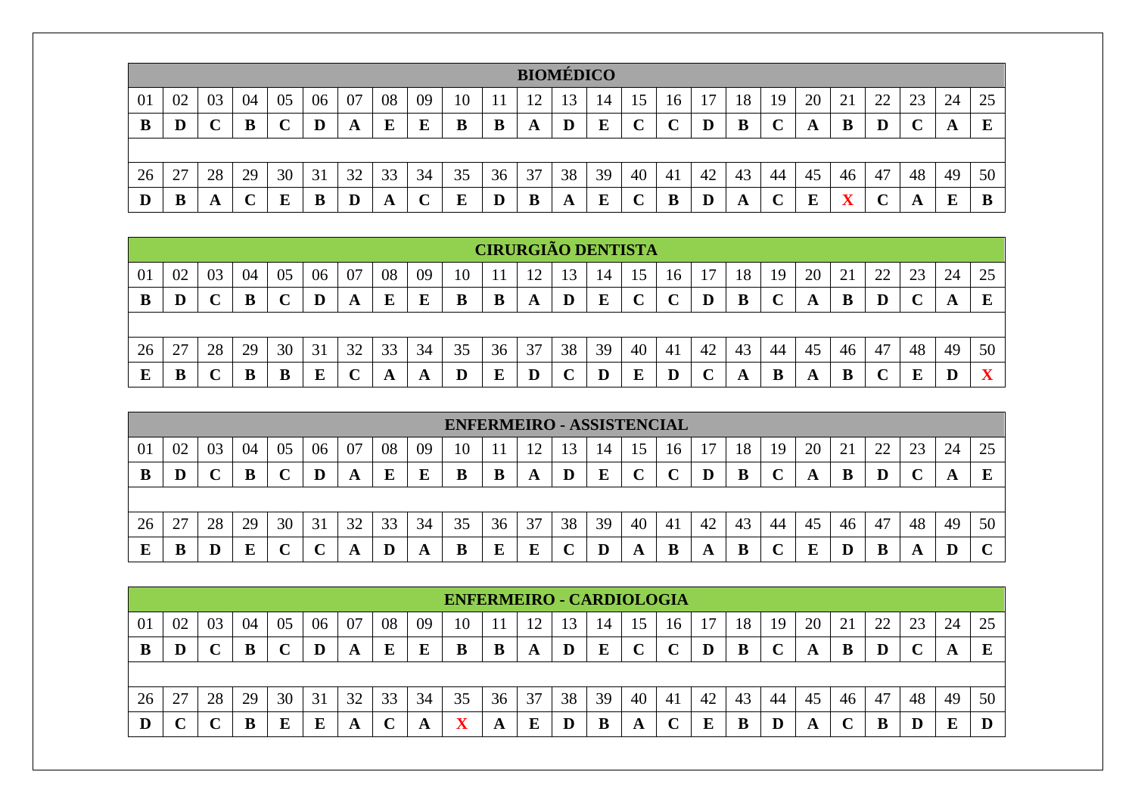|    |    |    |    |    |    |    |    |    |    |    | <b>BIOMÉDICO</b> |    |                 |    |    |    |    |    |    |    |    |    |    |         |
|----|----|----|----|----|----|----|----|----|----|----|------------------|----|-----------------|----|----|----|----|----|----|----|----|----|----|---------|
| 01 | 02 | 03 | 04 | 05 | 06 | 07 | 08 | 09 | 10 |    |                  | 13 | $\overline{14}$ | 15 | 16 |    | 18 | 19 | 20 | ∠⊥ | 22 | 23 | 24 | 25      |
| B  | D  |    |    |    |    | A  | E  | E  |    | B  | A                |    | E               |    |    | D  | B  |    | A  |    | D  |    | A  | Б<br>P, |
|    |    |    |    |    |    |    |    |    |    |    |                  |    |                 |    |    |    |    |    |    |    |    |    |    |         |
| 26 | 27 | 28 | 29 | 30 | 31 | 32 | 33 | 34 | 35 | 36 | 37               | 38 | 39              | 40 | 41 | 42 | 43 | 44 | 45 | 46 | 47 | 48 | 49 | 50      |
| D  | D  |    |    | E  | B  |    | A  |    |    |    | B                | A  | ы               |    | B  |    | A  |    | E  |    |    |    | E  | B       |

|    |    |    |    |    |    |    |    |    |             |    |                | <b>CIRURGIÃO DENTISTA</b> |    |    |        |    |    |    |    |    |            |    |    |                   |
|----|----|----|----|----|----|----|----|----|-------------|----|----------------|---------------------------|----|----|--------|----|----|----|----|----|------------|----|----|-------------------|
| 01 | 02 | 03 | 04 | 05 | 06 | 07 | 08 | 09 | 10          |    | $\overline{1}$ |                           |    |    | 16     |    | 18 | 19 | 20 | 21 | つつ<br>ے بے | 23 | 24 | 25                |
| B  |    |    |    |    | D  | A  | E  | E  | B           | B  | A              |                           | E  |    | $\sim$ |    | B  |    | A  | B  |            |    |    | E                 |
|    |    |    |    |    |    |    |    |    |             |    |                |                           |    |    |        |    |    |    |    |    |            |    |    |                   |
| 26 | 27 | 28 | 29 | 30 | 31 | 32 | 33 | 34 | 35          | 36 | 37             | 38                        | 39 | 40 | 41     | 42 | 43 | 44 | 45 | 46 | 47         | 48 | 49 | 50                |
|    | B  |    |    |    | E  |    | A  |    | $\mathbf D$ |    |                |                           | D  |    |        |    | A  | В  | A  | B  |            |    |    | $\mathbf{v}$<br>л |

|    |           |    |    |    |        |    |    |    | <b>ENFERMEIRO - ASSISTENCIAL</b> |    |    |    |    |    |    |    |    |    |    |    |    |    |    |             |
|----|-----------|----|----|----|--------|----|----|----|----------------------------------|----|----|----|----|----|----|----|----|----|----|----|----|----|----|-------------|
| 01 | 02        | 03 | 04 | 05 | 06     | 07 | 08 | 09 | 10                               |    |    |    | 14 | 15 | 16 |    | 18 | 19 | 20 |    | 22 | 23 | 24 | 25          |
|    |           |    |    |    |        | A  | E  |    | В                                | B  | A  | Ð  | E  |    | ╰  |    | B  |    | A  |    |    |    |    | E           |
|    |           |    |    |    |        |    |    |    |                                  |    |    |    |    |    |    |    |    |    |    |    |    |    |    |             |
| 26 | 27<br>ا ت | 28 | 29 | 30 | 31     | 32 | 33 | 34 | 35                               | 36 | 37 | 38 | 39 | 40 | 41 | 42 | 43 | 44 | 45 | 46 | 47 | 48 | 49 | 50          |
|    |           |    | E  |    | $\sim$ |    |    |    | B                                |    | E  |    | D  | A  | B  | A  | B  |    |    |    |    |    |    | $\sim$<br>◡ |

|    |    |    |    |    |    |    |    |    | <b>ENFERMEIRO - CARDIOLOGIA</b> |    |    |         |    |    |    |    |    |    |    |    |               |    |    |    |
|----|----|----|----|----|----|----|----|----|---------------------------------|----|----|---------|----|----|----|----|----|----|----|----|---------------|----|----|----|
| 01 | 02 | 03 | 04 | U5 | 06 | 07 | 08 | 09 | 10                              |    |    |         | 14 |    | 16 |    | 18 | 19 | 20 | ΖI | $\mathcal{D}$ | 23 | 24 | 25 |
| в  | D  |    | B  |    |    | A  |    |    |                                 | В  | A  | $\bf D$ | E  |    |    |    | B  |    | A  | в  |               |    | A  |    |
|    |    |    |    |    |    |    |    |    |                                 |    |    |         |    |    |    |    |    |    |    |    |               |    |    |    |
| 26 | 27 | 28 | 29 | 30 | 31 | 32 | 33 | 34 | 35                              | 36 | 37 | 38      | 39 | 40 | 41 | 42 | 43 | 44 | 45 | 46 | 47            | 48 | 49 | 50 |
|    |    |    | B  |    | E  | A  |    | A, | $\overline{\mathbf{x}}$         | A  | E  | IJ      | B  | A  |    |    | D  |    | A  |    | B             |    | E  |    |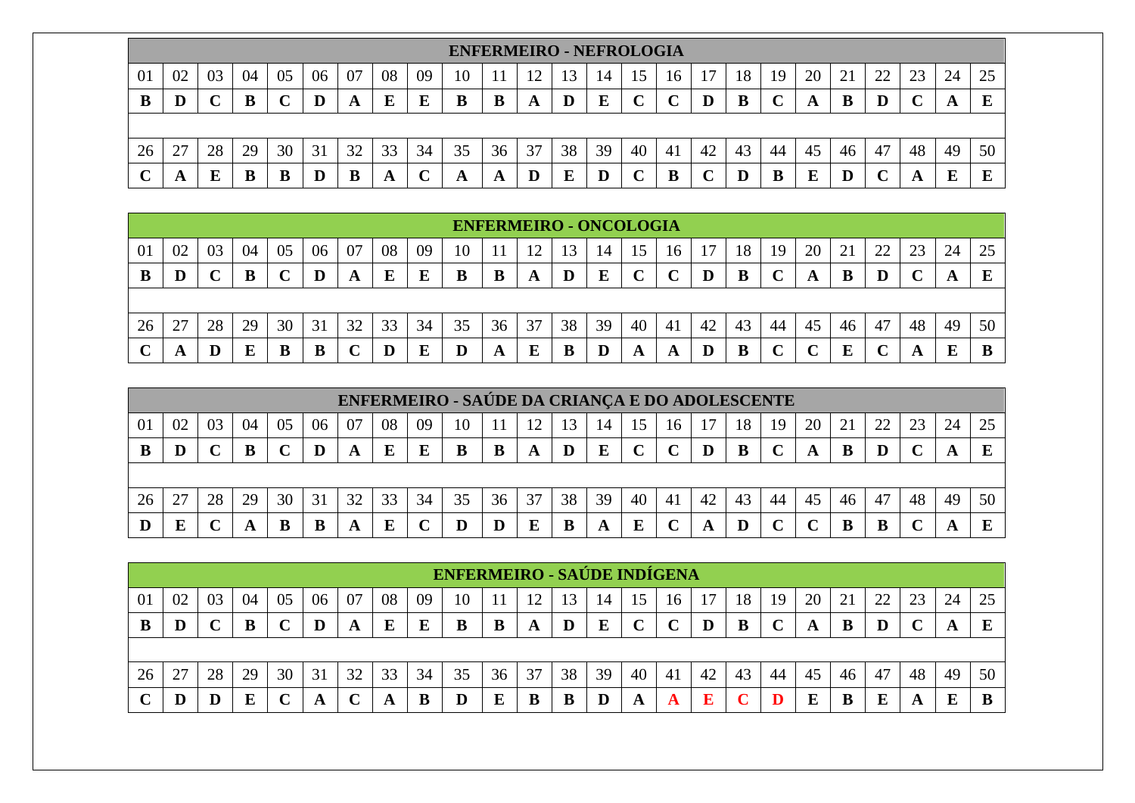|    |                                                                                                                                  |    |    |    |    |    |    |    |    |    | <b>ENFERMEIRO - NEFROLOGIA</b> |    |    |    |    |    |    |    |    |    |    |    |    |    |
|----|----------------------------------------------------------------------------------------------------------------------------------|----|----|----|----|----|----|----|----|----|--------------------------------|----|----|----|----|----|----|----|----|----|----|----|----|----|
| 01 | 08<br>20<br>05<br>06<br>22<br>04<br>07<br>09<br>23<br>24<br>02<br>18<br>25<br>19<br>21<br>10<br>15<br>14<br>16<br>$\overline{1}$ |    |    |    |    |    |    |    |    |    |                                |    |    |    |    |    |    |    |    |    |    |    |    |    |
| B  |                                                                                                                                  |    | B  |    | D  | A  | E  | E  | B  | В  | A                              | D  | E  |    | ◡  |    | B  |    | A  |    | D  |    |    |    |
|    |                                                                                                                                  |    |    |    |    |    |    |    |    |    |                                |    |    |    |    |    |    |    |    |    |    |    |    |    |
| 26 | n<br>∼                                                                                                                           | 28 | 29 | 30 | 31 | 32 | 33 | 34 | 35 | 36 | 37                             | 38 | 39 | 40 | 41 | 42 | 43 | 44 | 45 | 46 | 47 | 48 | 49 | 50 |
|    | A                                                                                                                                |    | B  |    | D  | B  | A  |    | A  | A  | D                              |    | D  |    | B  |    |    | B  | E  |    |    |    | E  | ш  |

|    |    |    |    |    |    |    |    |    |    |    | <b>ENFERMEIRO - ONCOLOGIA</b> |    |    |    |    |    |    |    |    |    |    |    |    |    |
|----|----|----|----|----|----|----|----|----|----|----|-------------------------------|----|----|----|----|----|----|----|----|----|----|----|----|----|
| 01 | 02 | 03 | 04 | 05 | 06 | 07 | 08 | 09 | 10 |    |                               |    | 14 |    | 16 |    | 18 | 19 | 20 |    | 22 | 23 | 24 | 25 |
| B  |    |    |    |    | D  |    | E  | E  | B  |    | A                             | D  | E  |    | ◡  | D  | В  |    |    |    | D  |    |    | E  |
|    |    |    |    |    |    |    |    |    |    |    |                               |    |    |    |    |    |    |    |    |    |    |    |    |    |
| 26 | 27 | 28 | 29 | 30 | 31 | 32 | 33 | 34 | 35 | 36 | 37                            | 38 | 39 | 40 | 41 | 42 | 43 | 44 | 45 | 46 | 47 | 48 | 49 | 50 |
|    | A  |    |    |    |    |    |    |    |    | A  |                               |    |    | A  | A  | IJ | B  |    |    |    |    | A  | Е  |    |

|    |    |    |    |    |    |    |    |    | <b>ENFERMEIRO - SAÚDE DA CRIANÇA E DO ADOLESCENTE</b> |    |    |    |    |     |    |    |    |    |    |    |    |    |    |    |
|----|----|----|----|----|----|----|----|----|-------------------------------------------------------|----|----|----|----|-----|----|----|----|----|----|----|----|----|----|----|
| 01 | 02 | 03 | 04 | 05 | 06 | 07 | 08 | 09 | 10                                                    |    |    | 3  | 14 | כ ו | 16 |    | 18 | 19 | 20 |    |    |    | 24 |    |
| B  |    |    |    |    |    |    |    |    | в                                                     | B  | A  | D  | E  |     |    |    | B  |    |    |    |    |    |    |    |
|    |    |    |    |    |    |    |    |    |                                                       |    |    |    |    |     |    |    |    |    |    |    |    |    |    |    |
| 26 |    | 28 | 29 | 30 | 31 | 32 | 33 | 34 | 35                                                    | 36 | 37 | 38 | 39 | 40  | 41 | 42 | 43 | 44 | 45 | 46 | 47 | 48 | 49 | 50 |
|    | E  |    | A  |    |    | A  |    |    |                                                       |    | E  |    | A  |     |    | A  |    |    |    |    |    |    |    |    |

|    |    |    |    |    |    |    |    |    | <b>ENFERMEIRO - SAÚDE INDÍGENA</b> |    |    |    |         |    |    |    |    |    |    |    |    |    |    |    |
|----|----|----|----|----|----|----|----|----|------------------------------------|----|----|----|---------|----|----|----|----|----|----|----|----|----|----|----|
| 01 | 02 | 03 | 04 | 05 | 06 | 07 | 08 | 09 | 10                                 |    |    |    |         | L5 | 16 | 17 | 18 | 19 | 20 |    | 22 | 23 | 24 | 25 |
| В  |    |    | B  |    | D  | A  | E  |    |                                    |    | A  | D  | E       |    | ◡  |    | B  |    | A  |    | D  |    |    | E  |
|    |    |    |    |    |    |    |    |    |                                    |    |    |    |         |    |    |    |    |    |    |    |    |    |    |    |
| 26 | 27 | 28 | 29 | 30 | 31 | 32 | 33 | 34 | 35                                 | 36 | 37 | 38 | 39      | 40 | 41 | 42 | 43 | 44 | 45 | 46 | 47 | 48 | 49 | 50 |
|    |    |    | E  |    |    |    | A  | B  | D                                  |    | B  | B  | $\bf D$ | A  | A  | E  |    |    | E  |    | E  | A  | E  |    |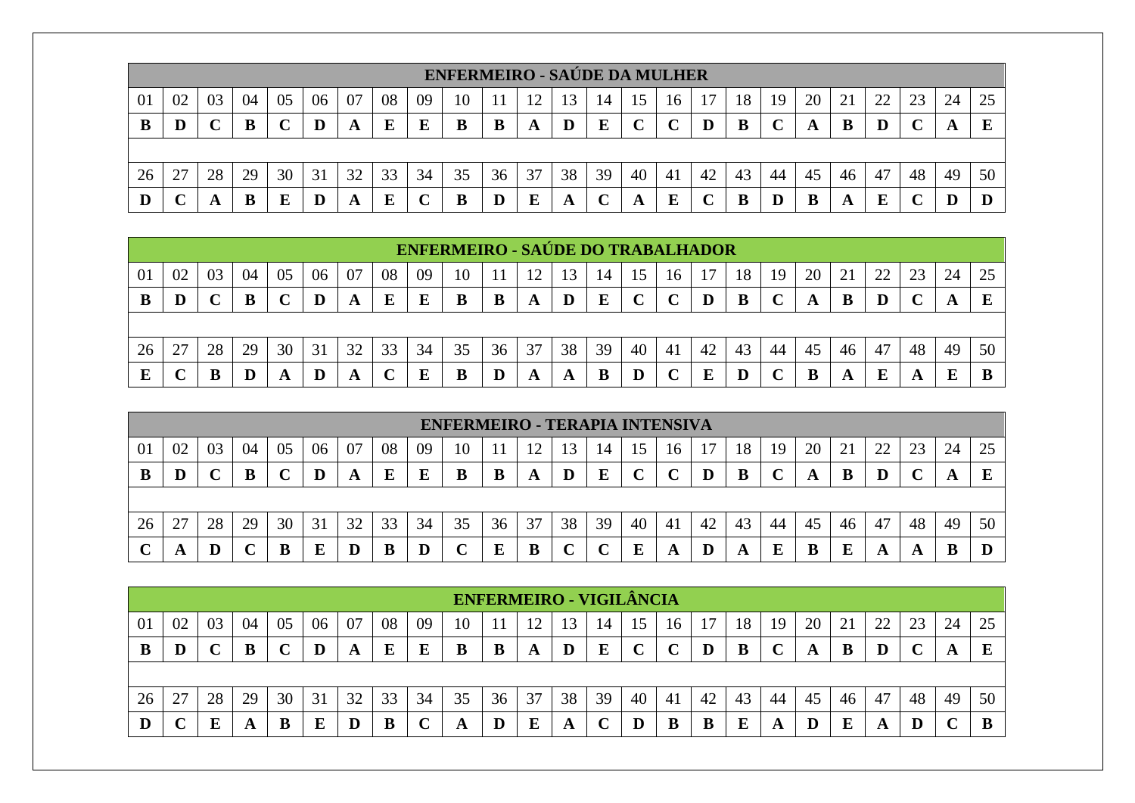|    |    |    |    |    |    |    |    |    | <b>ENFERMEIRO - SAÚDE DA MULHER</b> |    |    |    |    |    |    |    |    |    |    |    |    |    |    |    |
|----|----|----|----|----|----|----|----|----|-------------------------------------|----|----|----|----|----|----|----|----|----|----|----|----|----|----|----|
| 01 | 02 | 03 | 04 | 05 | 06 | 07 | 08 | 09 | 10                                  |    |    | 13 | 14 | 15 | 16 |    | 18 | 19 | 20 | 21 | 22 | 23 | 24 | 25 |
|    |    |    | B  |    |    | A  | E  | E  | B                                   | B  | A  |    | E  |    |    |    | B  |    | A  | B  | D  |    |    |    |
|    |    |    |    |    |    |    |    |    |                                     |    |    |    |    |    |    |    |    |    |    |    |    |    |    |    |
| 26 | 27 | 28 | 29 | 30 | 31 | 32 | 33 | 34 | 35                                  | 36 | 37 | 38 | 39 | 40 | 41 | 42 | 43 | 44 | 45 | 46 | 47 | 48 | 49 | 50 |
|    |    |    | B  | E  |    |    | E  |    | B                                   |    | E  |    | ັ  |    | E  |    |    |    | B  |    | E  |    |    |    |

|    |    |    |    |    |    |    |    |    | <b>ENFERMEIRO - SAÚDE DO TRABALHADOR</b> |    |    |    |    |    |     |    |                       |    |    |    |    |    |    |    |
|----|----|----|----|----|----|----|----|----|------------------------------------------|----|----|----|----|----|-----|----|-----------------------|----|----|----|----|----|----|----|
| 01 | 02 | 03 | 04 | 05 | 06 | 07 | 08 | 09 | 10                                       |    |    |    | 14 |    |     |    |                       | 19 | 20 | 21 | 22 | 23 | 24 | 25 |
| В  | D  |    | B  |    | D  | A  | E  |    | B                                        | В  | A  |    |    |    |     | IJ | B                     |    | A  | В  |    |    | A  |    |
|    |    |    |    |    |    |    |    |    |                                          |    |    |    |    |    |     |    |                       |    |    |    |    |    |    |    |
| 26 | 27 | 28 | 29 | 30 | 31 | 32 | 33 | 34 | 35                                       | 36 | 37 | 38 | 39 | 40 | -41 | 42 | 43                    | 44 | 45 | 46 | 47 | 48 | 49 | 50 |
| Е  |    | n  |    |    | IJ |    |    |    | B                                        |    | A  | A  | B  | D  |     | E  | $\boldsymbol{\Gamma}$ |    | В  | A  | E  |    |    |    |

|    |    |    |    |    |    |    |    |    | <b>ENFERMEIRO - TERAPIA INTENSIVA</b> |    |    |    |    |              |    |    |    |    |    |    |    |    |    |    |
|----|----|----|----|----|----|----|----|----|---------------------------------------|----|----|----|----|--------------|----|----|----|----|----|----|----|----|----|----|
| 01 | 02 | 03 | 04 | 05 | 06 | 07 | 08 | 09 | 10                                    |    | 12 |    | 14 | 15           | 16 |    | 18 | 19 | 20 | 21 | つつ | 23 | 24 | 25 |
| B  |    |    | В  |    |    | A  | E  | E  | B                                     | B  | A  | D  | E  | $\mathbf{r}$ | ◡  | D  | B  |    | A  | B  | D  |    | A  | E  |
|    |    |    |    |    |    |    |    |    |                                       |    |    |    |    |              |    |    |    |    |    |    |    |    |    |    |
| 26 | 27 | 28 | 29 | 30 | 31 | 32 | 33 | 34 | 35                                    | 36 | 37 | 38 | 39 | 40           | 41 | 42 | 43 | 44 | 45 | 46 | 47 | 48 | 49 | 50 |
| ◡  | A  |    |    | B  | E  |    | в  |    |                                       |    | B  |    |    | Е            | A  | D  | A  | Ľ  | B  |    |    |    |    | D  |

|    |    |    |    |    |    |    |    |    |    |    | <b>ENFERMEIRO - VIGILÂNCIA</b> |    |    |    |     |    |    |    |    |                 |    |    |    |    |
|----|----|----|----|----|----|----|----|----|----|----|--------------------------------|----|----|----|-----|----|----|----|----|-----------------|----|----|----|----|
| 01 | 02 | 03 | 04 | 05 | 06 | 07 | 08 | 09 | 10 |    |                                | 13 | 14 | 15 | 16  |    | 18 | 19 | 20 | $\mathcal{L}^+$ |    | ີ  | 24 | 25 |
|    | D  |    | B  |    |    | A  | E  |    | B  | B  | A                              | D  | E  |    |     |    | B  |    |    | В               | D  |    | A  |    |
|    |    |    |    |    |    |    |    |    |    |    |                                |    |    |    |     |    |    |    |    |                 |    |    |    |    |
| 26 | 27 | 28 | 29 | 30 | 31 | 32 | 33 | 34 | 35 | 36 | 37                             | 38 | 39 | 40 | -41 | 42 | 43 | 44 | 45 | 46              | 47 | 48 | 49 | 50 |
|    |    |    |    |    | E  |    | В  |    | A  | IJ | E                              | A  |    |    |     |    |    |    |    | E               | A  |    |    |    |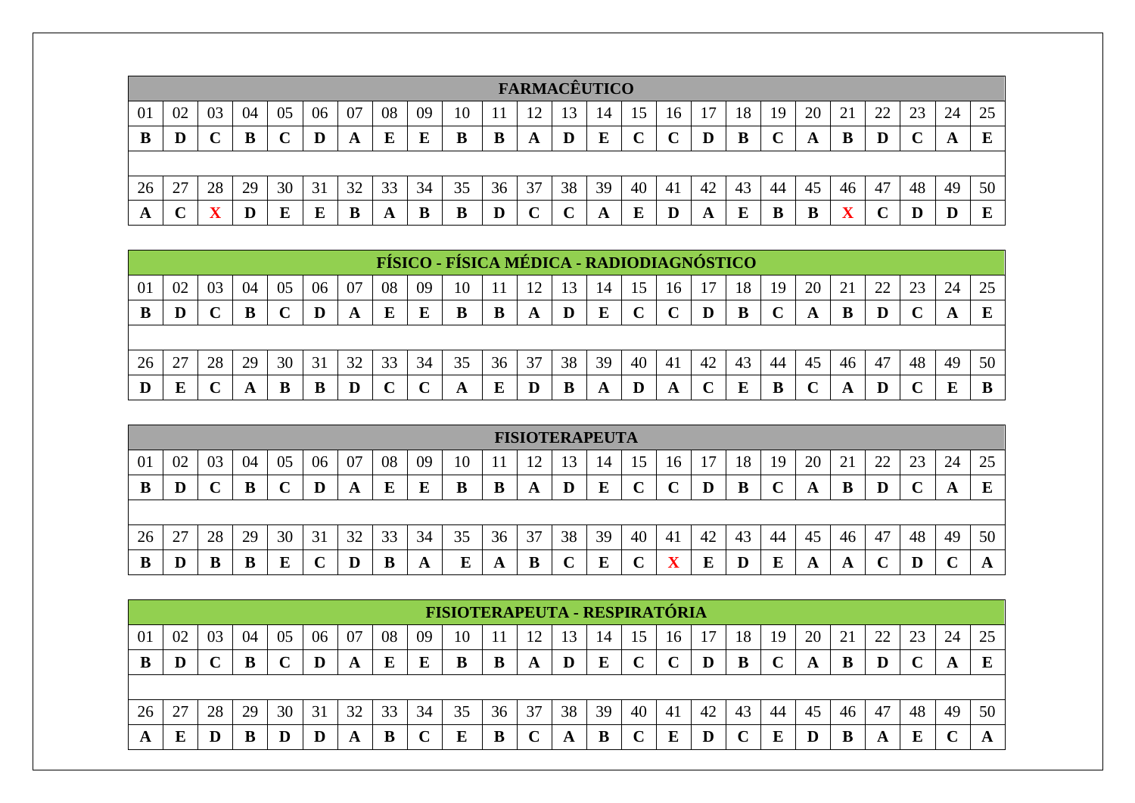|    |    |    |    |    |    |    |    |    |    |    | <b>FARMACÊUTICO</b> |    |    |    |             |    |    |    |    |    |    |    |    |    |
|----|----|----|----|----|----|----|----|----|----|----|---------------------|----|----|----|-------------|----|----|----|----|----|----|----|----|----|
| 01 | 02 | 03 | 04 | 05 | 06 | 07 | 08 | 09 | 10 |    |                     | 13 | 14 | 15 | 16          |    | 18 | 19 | 20 | 21 | 22 | 23 | 24 | 25 |
| B  |    |    |    |    | D  | A  | E  |    |    | В  | A                   |    | E  |    | $\mathbf C$ |    | B  |    | A  |    | D  |    | A  |    |
|    |    |    |    |    |    |    |    |    |    |    |                     |    |    |    |             |    |    |    |    |    |    |    |    |    |
| 26 | 27 | 28 | 29 | 30 | 31 | 32 | 33 | 34 | 35 | 36 | 37                  | 38 | 39 | 40 | 41          | 42 | 43 | 44 | 45 | 46 | 47 | 48 | 49 | 50 |
| A  |    |    | D  | E  | E  | B  | A  | D  | В  |    | ◡                   |    | A  |    | $\bf{D}$    | A  | E  | B  | B  |    |    |    |    | E  |

|    |    |    |    |    |    |    |    |          | FÍSICO - FÍSICA MÉDICA - RADIODIAGNÓSTICO |    |    |    |    |            |     |    |    |     |    |    |    |    |    |    |
|----|----|----|----|----|----|----|----|----------|-------------------------------------------|----|----|----|----|------------|-----|----|----|-----|----|----|----|----|----|----|
| 01 | 02 | 03 | 04 | 05 | 06 | 07 | 08 | 09       | 10                                        |    |    |    |    |            | 16  |    | 18 | -19 | 20 | 21 | 22 | 23 | 24 | 25 |
| В  | D  |    | B  |    |    | A  | E  | $\bf{E}$ | B                                         | B  | A  | D  | E  | $\sqrt{ }$ |     | D  | B  |     |    |    | D  |    |    |    |
|    |    |    |    |    |    |    |    |          |                                           |    |    |    |    |            |     |    |    |     |    |    |    |    |    |    |
| 26 | 27 | 28 | 29 | 30 | 31 | 32 | 33 | 34       | 35                                        | 36 | 37 | 38 | 39 | 40         | -41 | 42 | 43 | 44  | 45 | 46 | 47 | 48 | 49 | 50 |
|    |    |    |    |    |    |    |    |          |                                           |    |    |    | A  |            | A   |    | Е  | B   |    |    |    |    |    |    |

|    |    |    |    |    |    |    |    |    |    |    |    |    | <b>FISIOTERAPEUTA</b> |    |    |    |    |    |    |    |    |    |    |    |
|----|----|----|----|----|----|----|----|----|----|----|----|----|-----------------------|----|----|----|----|----|----|----|----|----|----|----|
| 01 | 02 | 03 | 04 | 05 | 06 | 07 | 08 | 09 | 10 |    |    |    | 14                    | 15 | 16 |    | 18 | 19 | 20 | 21 | 22 | 23 | 24 | 25 |
| В  | D  |    |    |    | D  | A  | E  | E  | B  |    | A  | D  | Ε                     |    |    |    | B  |    | A  | B  |    |    | A  |    |
|    |    |    |    |    |    |    |    |    |    |    |    |    |                       |    |    |    |    |    |    |    |    |    |    |    |
| 26 | 27 | 28 | 29 | 30 | 31 | 32 | 33 | 34 | 35 | 36 | 37 | 38 | 39                    | 40 | 41 | 42 | 43 | 44 | 45 | 46 | 47 | 48 | 49 | 50 |
| B  | D  | B  | B  |    |    |    | B  | A  | Ľ  | A  | B  |    | E                     |    | ▼  |    | D  | E  | A  | A  |    |    |    | л  |

|     |    |    |    |    |    |    |    |    | <b>FISIOTERAPEUTA - RESPIRATÓRIA</b> |    |    |    |    |    |    |    |    |    |    |    |    |    |    |    |
|-----|----|----|----|----|----|----|----|----|--------------------------------------|----|----|----|----|----|----|----|----|----|----|----|----|----|----|----|
| -01 | 02 | 03 | 04 | 05 | 06 | 07 | 08 | 09 | 10                                   |    |    |    | 14 | 15 | 16 |    | 18 | 19 | 20 |    | 22 |    | 24 |    |
|     | D  |    | B  |    |    | A  | E  | E  | B                                    |    | A  |    | E  |    |    |    | B  |    |    | в  |    |    |    |    |
|     |    |    |    |    |    |    |    |    |                                      |    |    |    |    |    |    |    |    |    |    |    |    |    |    |    |
| 26  | 27 | 28 | 29 | 30 | 31 | 32 | 33 | 34 | 35                                   | 36 | 37 | 38 | 39 | 40 | 41 | 42 | 43 | 44 | 45 | 46 | 47 | 48 | 49 | 50 |
|     | E  |    | B  |    |    | A  | B  |    | E                                    | B  |    | A  | B  |    | E  |    |    | E  |    | B  | A  |    |    |    |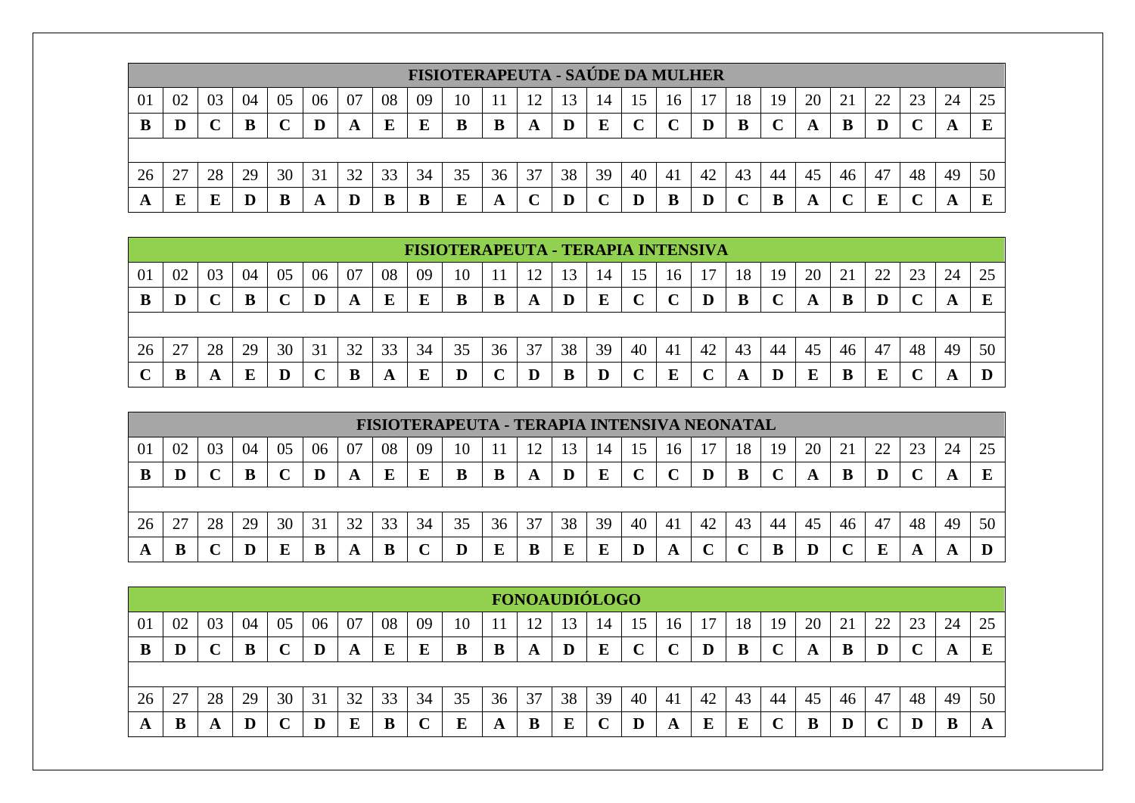|    |    |    |    |    |    |    |    |    | <b>FISIOTERAPEUTA - SAÚDE DA MULHER</b> |    |    |    |    |    |    |    |    |    |    |    |    |    |    |    |
|----|----|----|----|----|----|----|----|----|-----------------------------------------|----|----|----|----|----|----|----|----|----|----|----|----|----|----|----|
| 01 | 02 | 03 | 04 | 05 | 06 | 07 | 08 | 09 | 10                                      |    |    | 13 | 14 | .C | 16 |    | 18 | 19 | 20 |    | 22 | 23 | 24 |    |
|    | D  |    |    |    | D  | A  | E  |    | B                                       | B  | A  |    | E  |    |    |    | B  |    | A  |    | D  |    |    |    |
|    |    |    |    |    |    |    |    |    |                                         |    |    |    |    |    |    |    |    |    |    |    |    |    |    |    |
| 26 | 27 | 28 | 29 | 30 | 31 | 32 | 33 | 34 | 35                                      | 36 | 37 | 38 | 39 | 40 | 41 | 42 | 43 | 44 | 45 | 46 | 47 | 48 | 49 | 50 |
|    | E  |    |    |    | A  |    |    |    | E                                       | A  | ╰  |    |    |    |    |    |    | B  | A  |    |    |    |    |    |

|    |    |    |    |    |    |    |    |    | FISIOTERAPEUTA - TERAPIA INTENSIVA |    |    |    |    |    |    |    |    |     |    |    |    |    |    |    |
|----|----|----|----|----|----|----|----|----|------------------------------------|----|----|----|----|----|----|----|----|-----|----|----|----|----|----|----|
| 01 | 02 | 03 | 04 | 05 | 06 | 07 | 08 | 09 | 10                                 |    |    |    | 14 |    |    |    |    | 19  | 20 | 21 | 22 | 23 | 24 | 25 |
| В  | D  |    | B  |    | D  | A  | E  | Е  | B                                  | В  | A  |    |    |    |    | D  | B  |     | A  | B  |    |    |    |    |
|    |    |    |    |    |    |    |    |    |                                    |    |    |    |    |    |    |    |    |     |    |    |    |    |    |    |
|    |    |    |    |    |    |    |    |    |                                    |    |    |    |    |    |    |    |    |     |    |    |    |    |    |    |
| 26 | 27 | 28 | 29 | 30 | 31 | 32 | 33 | 34 | 35                                 | 36 | 37 | 38 | 39 | 40 | 41 | 42 | 43 | -44 | 45 | 46 | 47 | 48 | 49 | 50 |

|    |    |    |    |    |    |    |    |    | FISIOTERAPEUTA - TERAPIA INTENSIVA NEONATAL |    |    |    |    |    |             |    |    |    |    |    |    |    |    |    |
|----|----|----|----|----|----|----|----|----|---------------------------------------------|----|----|----|----|----|-------------|----|----|----|----|----|----|----|----|----|
| 01 | 02 | 03 | 04 | 05 | 06 | 07 | 08 | 09 | 10                                          |    |    |    | 14 |    | 16          |    | 18 | 19 | 20 | 21 | 22 | 23 | 24 | 25 |
|    | D  |    | B  |    | D  | A  | E  |    |                                             |    | A  | D  | E  |    | $\mathbf C$ | D  | B  |    | A  | В  |    |    |    |    |
|    |    |    |    |    |    |    |    |    |                                             |    |    |    |    |    |             |    |    |    |    |    |    |    |    |    |
| 26 | 27 | 28 | 29 | 30 | 31 | 32 | 33 | 34 | 35                                          | 36 | 37 | 38 | 39 | 40 | 41          | 42 | 43 | 44 | 45 | 46 | 47 | 48 | 49 | 50 |
| A  |    |    |    |    |    | A  | B  |    |                                             |    | В  |    | E  |    | A           |    |    | B  |    |    |    |    |    |    |

|              |    |    |    |    |    |    |    |    |    |    |    | <b>FONOAUDIÓLOGO</b> |    |    |    |    |    |    |    |            |    |    |    |    |
|--------------|----|----|----|----|----|----|----|----|----|----|----|----------------------|----|----|----|----|----|----|----|------------|----|----|----|----|
| <sup>0</sup> | 02 | 03 | 04 | 05 | 06 | 07 | 08 | 09 | 10 |    |    |                      | 14 |    | 16 | 7  | 18 | 19 | 20 | $\angle$ ! |    | 23 | 24 | 25 |
| в            |    |    |    |    |    | A  | E  |    | В  | В  | A  | D                    | E  |    |    |    | B  |    | A  | В          | D  |    | A  | ய  |
|              |    |    |    |    |    |    |    |    |    |    |    |                      |    |    |    |    |    |    |    |            |    |    |    |    |
| 26           | 27 | 28 | 29 | 30 | 31 | 32 | 33 | 34 | 35 | 36 | 37 | 38                   | 39 | 40 | 41 | 42 | 43 | 44 | 45 | 46         | 47 | 48 | 49 | 50 |
| A            |    |    |    |    |    |    |    |    |    | A  | B  | r,                   | ີ  |    | A  |    | E  |    |    |            | ັ  |    | B  | A  |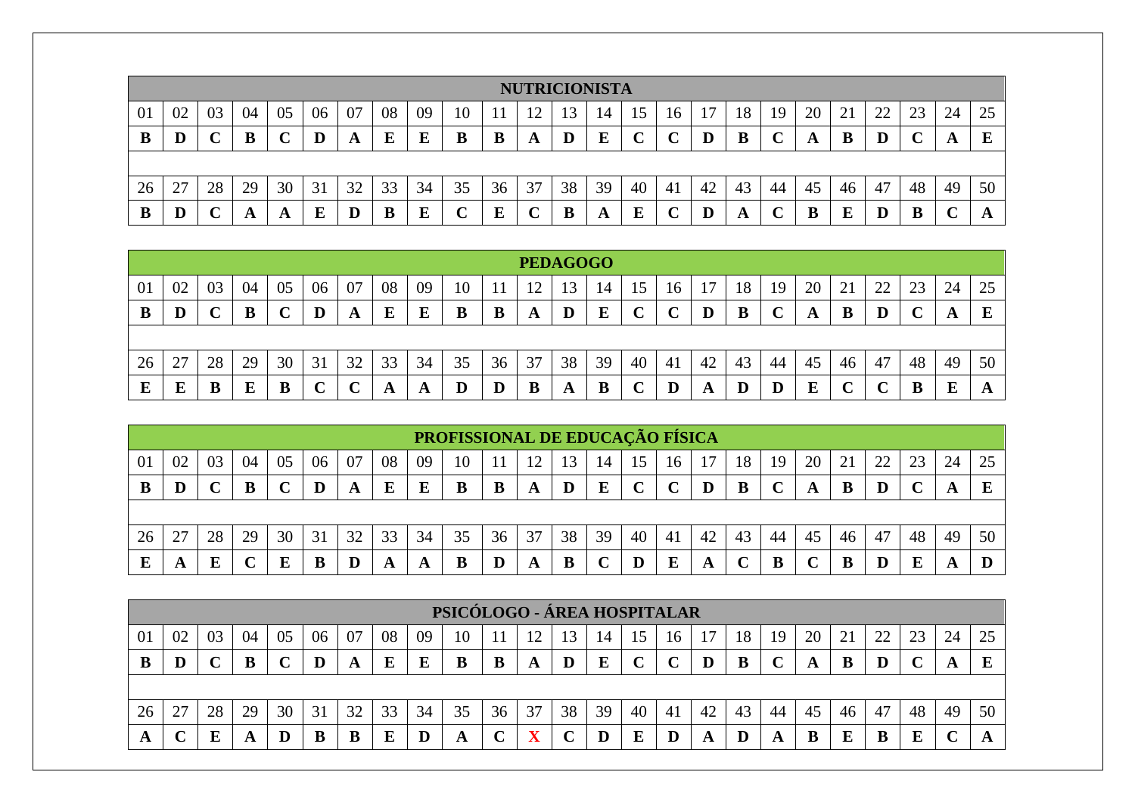|    |                                                            |    |    |    |    |    |    |    |    |    |    |    | <b>NUTRICIONISTA</b> |    |    |     |    |    |    |    |    |    |    |    |
|----|------------------------------------------------------------|----|----|----|----|----|----|----|----|----|----|----|----------------------|----|----|-----|----|----|----|----|----|----|----|----|
| 01 | 02                                                         | 03 | 04 | 05 | 06 | 07 | 08 | 09 | 10 |    |    | 13 | 14                   | .C | 10 |     | 18 | 19 | 20 | 21 | 22 | 23 | 24 | 25 |
| B  | E<br>$\bf{E}$<br>E<br>В<br>В<br>B<br>D<br>A<br>A<br>A<br>A |    |    |    |    |    |    |    |    |    |    |    |                      |    |    |     |    |    |    |    |    |    |    |    |
|    |                                                            |    |    |    |    |    |    |    |    |    |    |    |                      |    |    |     |    |    |    |    |    |    |    |    |
| 26 | 27                                                         | 28 | 29 | 30 | 31 | 32 | 33 | 34 | 35 | 36 | 37 | 38 | 39                   | 40 | 41 | -42 | 43 | 44 | 45 | 46 | 47 | 48 | 49 | 50 |
| B  |                                                            |    | A  |    | E  |    | B  |    |    |    | ֊  | B  | A                    |    |    |     | A  |    | B  |    | D  |    |    |    |

|    |                                                                                        |    |    |    |    |    |    |    |           |    |               | <b>PEDAGOGO</b> |    |    |         |    |          |    |    |    |    |    |    |    |
|----|----------------------------------------------------------------------------------------|----|----|----|----|----|----|----|-----------|----|---------------|-----------------|----|----|---------|----|----------|----|----|----|----|----|----|----|
| 01 | 02                                                                                     | 03 | 04 | 05 | 06 | 07 | 08 | 09 | 10        |    | ┸ <del></del> |                 | 14 |    | 16      |    | 18       | 19 | 20 | 21 | 22 | 23 | 24 | 25 |
| B  | E<br>B<br>E<br>B<br>B<br>E<br>D<br>E<br>B<br>B<br>D<br>D<br>A<br>A<br>A<br>A<br>╰<br>ັ |    |    |    |    |    |    |    |           |    |               |                 |    |    |         |    |          |    |    |    |    |    |    |    |
|    |                                                                                        |    |    |    |    |    |    |    |           |    |               |                 |    |    |         |    |          |    |    |    |    |    |    |    |
| 26 | 27                                                                                     | 28 | 29 | 30 | 31 | 32 | 33 | 34 | 35        | 36 | 37            | 38              | 39 | 40 | 41      | 42 | 43       | 44 | 45 | 46 | 47 | 48 | 49 | 50 |
| E  | Ε                                                                                      | В  |    |    | ັ  |    | A  | A  | ${\bf D}$ |    | B             | A               | B  |    | $\bf D$ | A  | $\bf{D}$ | D  | E  |    |    |    |    | A  |

|    |                                                               |    |    |    |    |    |    |    | PROFISSIONAL DE EDUCAÇÃO FÍSICA |    |    |    |    |    |    |    |    |    |    |    |    |    |    |    |
|----|---------------------------------------------------------------|----|----|----|----|----|----|----|---------------------------------|----|----|----|----|----|----|----|----|----|----|----|----|----|----|----|
| 01 | 02                                                            | 03 | 04 | 05 | 06 | 07 | 08 | 09 | 10                              |    |    | 13 | 14 | 15 | 16 |    | 18 | 19 | 20 |    |    | 23 | 24 |    |
| B  | E<br>E<br>B<br>B<br>В<br>B<br>D<br>D<br>D<br>D<br>A<br>A<br>A |    |    |    |    |    |    |    |                                 |    |    |    |    |    |    |    |    |    |    |    |    |    |    |    |
|    |                                                               |    |    |    |    |    |    |    |                                 |    |    |    |    |    |    |    |    |    |    |    |    |    |    |    |
| 26 |                                                               | 28 | 29 | 30 | 31 | 32 | 33 | 34 | 35                              | 36 | 37 | 38 | 39 | 40 | 41 | 42 | 43 | 44 | 45 | 46 | 47 | 48 | 49 | 50 |
|    | A                                                             |    |    |    |    |    | A  | A  | B                               |    | A  | В  |    |    | E  | A  |    |    |    |    |    |    |    |    |

|    |                                                                         |    |    |    |    |    |    |    | PSICÓLOGO - ÁREA HOSPITALAR |    |    |    |    |    |    |    |    |    |    |    |    |    |    |    |
|----|-------------------------------------------------------------------------|----|----|----|----|----|----|----|-----------------------------|----|----|----|----|----|----|----|----|----|----|----|----|----|----|----|
| 01 | 02                                                                      | 03 | 04 | 05 | 06 | 07 | 08 | 09 | 10                          |    |    |    | 14 | 15 | 16 |    | 18 | 19 | 20 |    | 22 | 23 | 24 | 25 |
| В  | $\mathbf C$<br>E<br>E<br>B<br>Е<br>D<br>B<br>D<br>B<br>D<br>A<br>A<br>A |    |    |    |    |    |    |    |                             |    |    |    |    |    |    |    |    |    |    |    |    |    |    |    |
|    |                                                                         |    |    |    |    |    |    |    |                             |    |    |    |    |    |    |    |    |    |    |    |    |    |    |    |
| 26 | 27                                                                      | 28 | 29 | 30 | 31 | 32 | 33 | 34 | 35                          | 36 | 37 | 38 | 39 | 40 | 41 | 42 | 43 | 44 | 45 | 46 | 47 | 48 | 49 | 50 |
| A  |                                                                         |    | A  |    |    |    | Е  |    | A                           |    |    |    |    |    | D  |    |    | A  | B  |    |    |    |    |    |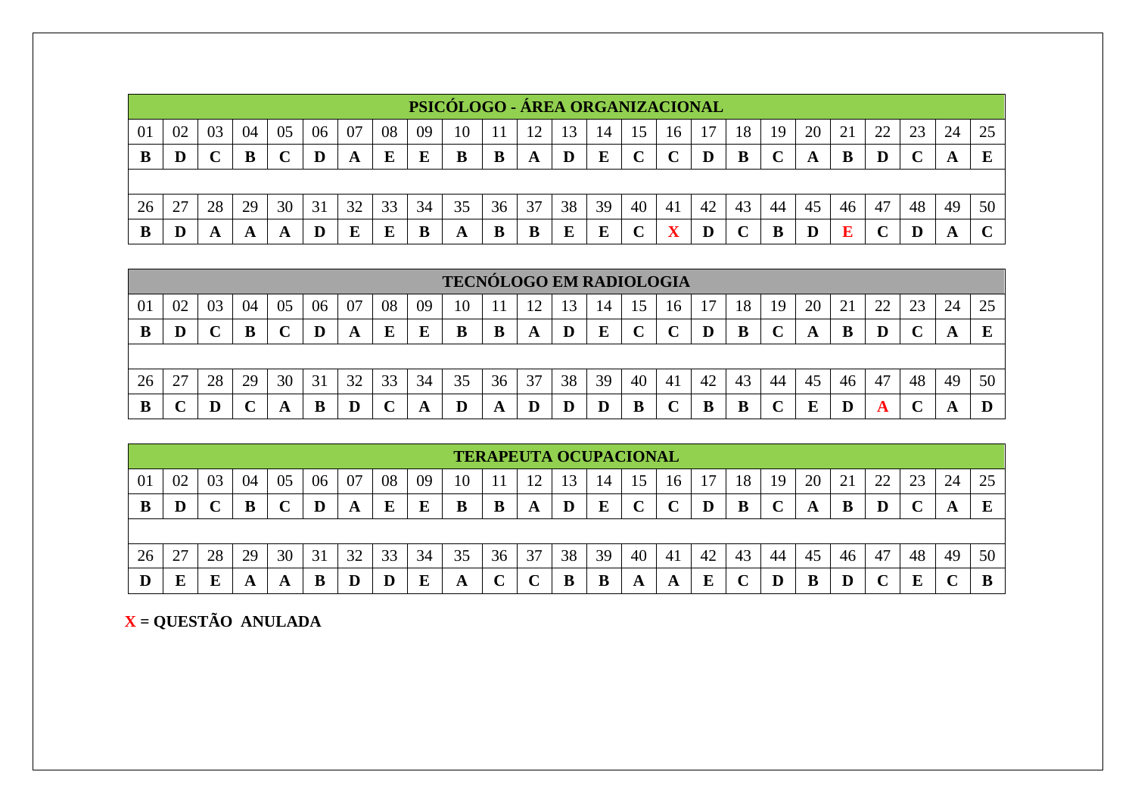|    |                                                                                                                          |    |    |    |    |    |    |    | PSICÓLOGO - ÁREA ORGANIZACIONAL |    |    |    |    |    |    |    |    |    |    |    |             |    |    |        |
|----|--------------------------------------------------------------------------------------------------------------------------|----|----|----|----|----|----|----|---------------------------------|----|----|----|----|----|----|----|----|----|----|----|-------------|----|----|--------|
| 01 | 25<br>08<br>24<br>02<br>07<br>09<br>20<br>10<br>13<br>18<br>03<br>06<br>04<br>05<br>19<br>16<br>15<br>14<br>$\mathbf{C}$ |    |    |    |    |    |    |    |                                 |    |    |    |    |    |    |    |    |    |    |    |             |    |    |        |
|    | D                                                                                                                        |    | B  |    |    | A  | E  |    | B                               | B  | A  | D  | E  |    |    |    | B  |    |    | в  | D           |    | A  |        |
|    |                                                                                                                          |    |    |    |    |    |    |    |                                 |    |    |    |    |    |    |    |    |    |    |    |             |    |    |        |
| 26 | 27                                                                                                                       | 28 | 29 | 30 | 31 | 32 | 33 | 34 | 35                              | 36 | 37 | 38 | 39 | 40 | 41 | 42 | 43 | 44 | 45 | 46 | 47          | 48 | 49 | 50     |
|    |                                                                                                                          | A  | A  | A  |    |    | E  |    | A                               | B  | B  | Ε  | E  |    |    |    |    | в  | D  | Ð  | $\mathbf C$ |    | A  | $\sim$ |

|    |                                                                                        |    |    |    |    |    |              |    | <b>TECNÓLOGO EM RADIOLOGIA</b> |    |                      |    |         |    |    |    |    |     |    |    |    |    |    |    |
|----|----------------------------------------------------------------------------------------|----|----|----|----|----|--------------|----|--------------------------------|----|----------------------|----|---------|----|----|----|----|-----|----|----|----|----|----|----|
| 01 | 02                                                                                     | 03 | 04 | 05 | 06 | 07 | 08           | 09 | 10                             |    | 12<br>$\overline{1}$ |    | 14      |    | 16 |    | 18 | 19  | 20 | 21 | 22 | 23 | 24 | 25 |
| В  | E<br>D<br>E<br>B<br>E<br>B<br>B<br>E<br>D<br>D<br>B<br>D<br>В<br>D<br>A<br>A<br>A<br>A |    |    |    |    |    |              |    |                                |    |                      |    |         |    |    |    |    |     |    |    |    |    |    |    |
|    |                                                                                        |    |    |    |    |    |              |    |                                |    |                      |    |         |    |    |    |    |     |    |    |    |    |    |    |
| 26 | 27                                                                                     | 28 | 29 | 30 | 31 | 32 | 33           | 34 | 35                             | 36 | 37                   | 38 | 39      | 40 | 41 | 42 | 43 | -44 | 45 | 46 | 47 | 48 | 49 | 50 |
| B  |                                                                                        |    |    |    | В  |    | $\mathbf{C}$ | A  | D                              | A  | D                    | D  | $\bf D$ | B  |    | В  | B  |     | E  | D  | o  |    | A  |    |

|    |    |    |    |    |    |    |    |    |    |    |    | <b>TERAPEUTA OCUPACIONAL</b> |    |    |    |    |    |    |    |    |    |    |     |    |
|----|----|----|----|----|----|----|----|----|----|----|----|------------------------------|----|----|----|----|----|----|----|----|----|----|-----|----|
| 01 | 02 | 03 | 04 | 05 | 06 | 07 | 08 | 09 | 10 |    |    | 13                           | 14 | 15 | 16 |    | 18 | 19 | 20 | 21 | 22 | 23 | 24  | 25 |
| B  |    |    | B  |    | D  | A  | E  | E  | В  | B  | A  | D                            | E  |    |    | D  | B  |    | A  | В  | D  |    | £Э. |    |
|    |    |    |    |    |    |    |    |    |    |    |    |                              |    |    |    |    |    |    |    |    |    |    |     |    |
| 26 | 27 | 28 | 29 | 30 | 31 | 32 | 33 | 34 | 35 | 36 | 37 | 38                           | 39 | 40 | 41 | 42 | 43 | 44 | 45 | 46 | 47 | 48 | 49  | 50 |
|    | E  |    | A  |    |    |    |    |    | A  |    | ◡  | B                            | B  | A  | A  |    |    |    | В  |    |    |    |     |    |

 **X = QUESTÃO ANULADA**